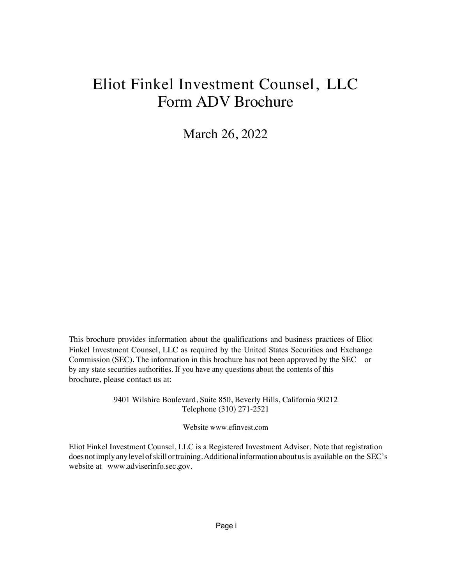# Eliot Finkel Investment Counsel, LLC Form ADV Brochure

March 26, 2022

This brochure provides information about the qualifications and business practices of Eliot Finkel Investment Counsel, LLC as required by the United States Securities and Exchange Commission (SEC). The information in this brochure has not been approved by the SEC or by any state securities authorities. If you have any questions about the contents of this brochure, please contact us at:

> 9401 Wilshire Boulevard, Suite 850, Beverly Hills, California 90212 Telephone (310) 271-2521

> > Website www.efinvest.com

Eliot Finkel Investment Counsel, LLC is a Registered Investment Adviser. Note that registration does not imply any level of skill or training. Additional information about us is available on the SEC's website at www.adviserinfo.sec.gov.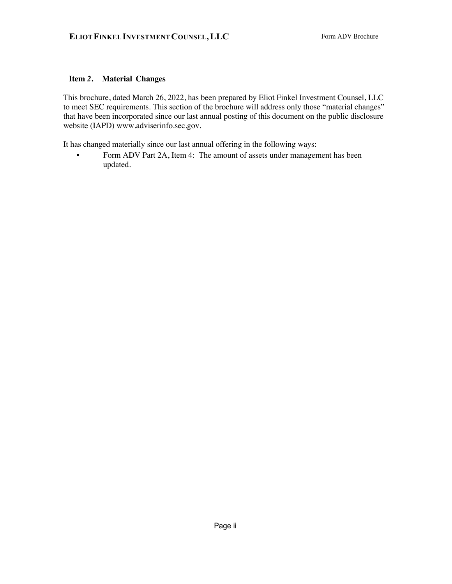# **Item** *2***. Material Changes**

This brochure, dated March 26, 2022, has been prepared by Eliot Finkel Investment Counsel, LLC to meet SEC requirements. This section of the brochure will address only those "material changes" that have been incorporated since our last annual posting of this document on the public disclosure website (IAPD) www.adviserinfo.sec.gov.

It has changed materially since our last annual offering in the following ways:

• Form ADV Part 2A, Item 4: The amount of assets under management has been updated.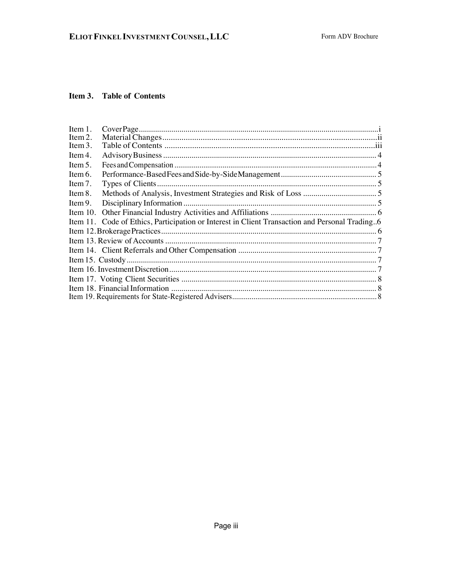# Item 3. Table of Contents

| Item 1.   |                                                                                                |  |
|-----------|------------------------------------------------------------------------------------------------|--|
| Item 2.   |                                                                                                |  |
| Item $3.$ |                                                                                                |  |
| Item 4.   |                                                                                                |  |
| Item 5.   |                                                                                                |  |
| Item 6.   |                                                                                                |  |
| Item $7.$ |                                                                                                |  |
| Item 8.   |                                                                                                |  |
| Item 9.   |                                                                                                |  |
|           |                                                                                                |  |
|           | Item 11. Code of Ethics, Participation or Interest in Client Transaction and Personal Trading6 |  |
|           |                                                                                                |  |
|           |                                                                                                |  |
|           |                                                                                                |  |
|           |                                                                                                |  |
|           |                                                                                                |  |
|           |                                                                                                |  |
|           |                                                                                                |  |
|           |                                                                                                |  |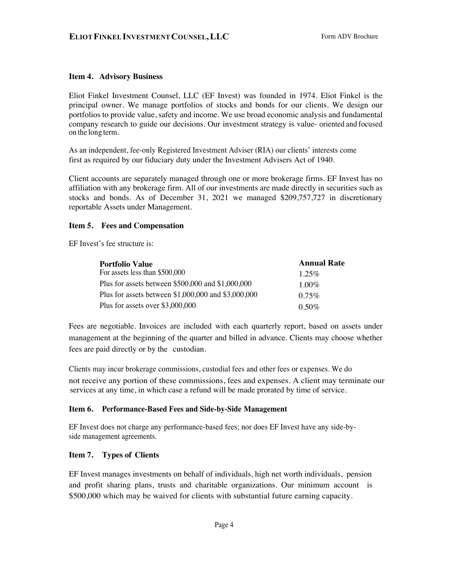#### **Item 4. Advisory Business**

Eliot Finkel Investment Counsel, LLC (EF Invest) was founded in 1974. Eliot Finkel is the principal owner. We manage portfolios of stocks and bonds for our clients. We design our portfolios to provide value, safety and income. We use broad economic analysis and fundamental company research to guide our decisions. Our investment strategy is value- oriented and focused on the long term.

As an independent, fee-only Registered Investment Adviser (RIA) our clients' interests come first as required by our fiduciary duty under the Investment Advisers Act of 1940.

Client accounts are separately managed through one or more brokerage firms. EF Invest has no affiliation with any brokerage firm. All of our investments are made directly in securities such as stocks and bonds. As of December 31, 2021 we managed \$209,757,727 in discretionary reportable Assets under Management.

#### **Item 5. Fees and Compensation**

EF Invest's fee structure is:

| <b>Portfolio Value</b>                              | <b>Annual Rate</b> |
|-----------------------------------------------------|--------------------|
| For assets less than \$500,000                      | $1.25\%$           |
| Plus for assets between $$500,000$ and $$1,000,000$ | $1.00\%$           |
| Plus for assets between \$1,000,000 and \$3,000,000 | $0.75\%$           |
| Plus for assets over $$3,000,000$                   | $0.50\%$           |

Fees are negotiable. Invoices are included with each quarterly report, based on assets under management at the beginning of the quarter and billed in advance. Clients may choose whether fees are paid directly or by the custodian.

Clients may incur brokerage commissions, custodial fees and other fees or expenses. We do not receive any portion of these commissions, fees and expenses. A client may terminate our services at any time, in which case a refund will be made prorated by time of service.

#### **Item 6. Performance-Based Fees and Side-by-Side Management**

EF Invest does not charge any performance-based fees; nor does EF Invest have any side-byside management agreements.

## **Item 7. Types of Clients**

EF Invest manages investments on behalf of individuals, high net worth individuals, pension and profit sharing plans, trusts and charitable organizations. Our minimum account is \$500,000 which may be waived for clients with substantial future earning capacity.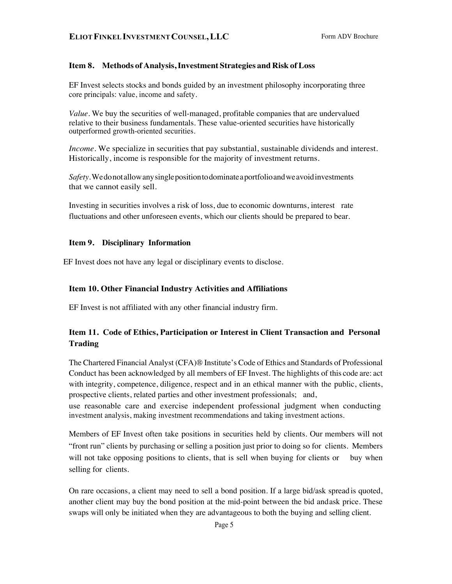#### **Item 8. Methods of Analysis,Investment Strategies and Risk ofLoss**

EF Invest selects stocks and bonds guided by an investment philosophy incorporating three core principals: value, income and safety.

*Value.* We buy the securities of well-managed, profitable companies that are undervalued relative to their business fundamentals. These value-oriented securities have historically outperformed growth-oriented securities.

*Income.* We specialize in securities that pay substantial, sustainable dividends and interest. Historically, income is responsible for the majority of investment returns.

*Safety.*Wedonotallowanysinglepositiontodominateaportfolioandweavoidinvestments that we cannot easily sell.

Investing in securities involves a risk of loss, due to economic downturns, interest rate fluctuations and other unforeseen events, which our clients should be prepared to bear.

#### **Item 9. Disciplinary Information**

EF Invest does not have any legal or disciplinary events to disclose.

#### **Item 10. Other Financial Industry Activities and Affiliations**

EF Invest is not affiliated with any other financial industry firm.

# **Item 11. Code of Ethics, Participation or Interest in Client Transaction and Personal Trading**

The Chartered Financial Analyst (CFA)® Institute's Code of Ethics and Standards of Professional Conduct has been acknowledged by all members of EF Invest. The highlights of this code are: act with integrity, competence, diligence, respect and in an ethical manner with the public, clients, prospective clients, related parties and other investment professionals; and,

use reasonable care and exercise independent professional judgment when conducting investment analysis, making investment recommendations and taking investment actions.

Members of EF Invest often take positions in securities held by clients. Our members will not "front run" clients by purchasing or selling a position just prior to doing so for clients. Members will not take opposing positions to clients, that is sell when buying for clients or buy when selling for clients.

On rare occasions, a client may need to sell a bond position. If a large bid/ask spread is quoted, another client may buy the bond position at the mid-point between the bid andask price. These swaps will only be initiated when they are advantageous to both the buying and selling client.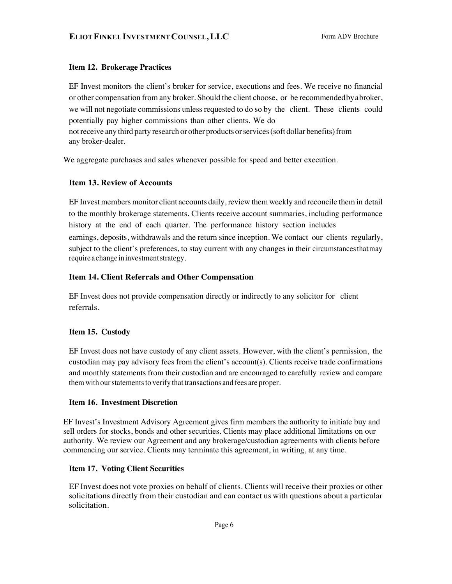## **Item 12. Brokerage Practices**

EF Invest monitors the client's broker for service, executions and fees. We receive no financial or other compensation from any broker. Should the client choose, or be recommendedbyabroker, we will not negotiate commissions unless requested to do so by the client. These clients could potentially pay higher commissions than other clients. We do notreceive any third party research or other products orservices(soft dollar benefits)from any broker-dealer.

We aggregate purchases and sales whenever possible for speed and better execution.

# **Item 13. Review of Accounts**

EF Invest members monitor client accounts daily, review them weekly and reconcile them in detail to the monthly brokerage statements. Clients receive account summaries, including performance history at the end of each quarter. The performance history section includes earnings, deposits, withdrawals and the return since inception. We contact our clients regularly, subject to the client's preferences, to stay current with any changes in their circumstancesthatmay require a change ininvestmentstrategy.

# **Item 14. Client Referrals and Other Compensation**

EF Invest does not provide compensation directly or indirectly to any solicitor for client referrals.

## **Item 15. Custody**

EF Invest does not have custody of any client assets. However, with the client's permission, the custodian may pay advisory fees from the client's account(s). Clients receive trade confirmations and monthly statements from their custodian and are encouraged to carefully review and compare them with our statements to verify that transactions and fees are proper.

## **Item 16. Investment Discretion**

EF Invest's Investment Advisory Agreement gives firm members the authority to initiate buy and sell orders for stocks, bonds and other securities. Clients may place additional limitations on our authority. We review our Agreement and any brokerage/custodian agreements with clients before commencing our service. Clients may terminate this agreement, in writing, at any time.

## **Item 17. Voting Client Securities**

EF Invest does not vote proxies on behalf of clients. Clients will receive their proxies or other solicitations directly from their custodian and can contact us with questions about a particular solicitation.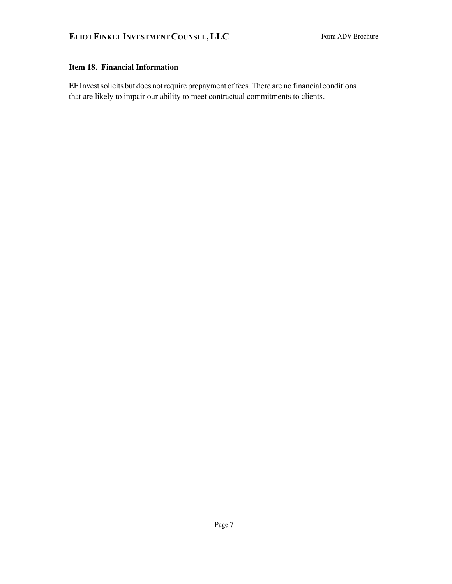# **Item 18. Financial Information**

EF Invest solicits but does not require prepayment of fees. There are no financial conditions that are likely to impair our ability to meet contractual commitments to clients.